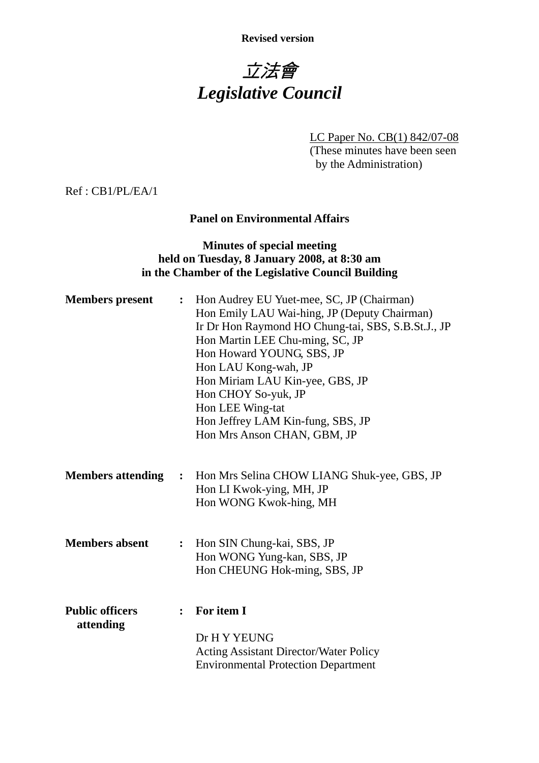**Revised version** 

# 立法會 *Legislative Council*

LC Paper No. CB(1) 842/07-08 (These minutes have been seen by the Administration)

Ref : CB1/PL/EA/1

#### **Panel on Environmental Affairs**

#### **Minutes of special meeting held on Tuesday, 8 January 2008, at 8:30 am in the Chamber of the Legislative Council Building**

| <b>Members</b> present              | $\ddot{\cdot}$ | Hon Audrey EU Yuet-mee, SC, JP (Chairman)<br>Hon Emily LAU Wai-hing, JP (Deputy Chairman)<br>Ir Dr Hon Raymond HO Chung-tai, SBS, S.B.St.J., JP<br>Hon Martin LEE Chu-ming, SC, JP<br>Hon Howard YOUNG, SBS, JP<br>Hon LAU Kong-wah, JP<br>Hon Miriam LAU Kin-yee, GBS, JP<br>Hon CHOY So-yuk, JP<br>Hon LEE Wing-tat<br>Hon Jeffrey LAM Kin-fung, SBS, JP |
|-------------------------------------|----------------|------------------------------------------------------------------------------------------------------------------------------------------------------------------------------------------------------------------------------------------------------------------------------------------------------------------------------------------------------------|
|                                     |                | Hon Mrs Anson CHAN, GBM, JP                                                                                                                                                                                                                                                                                                                                |
| <b>Members attending</b>            |                | : Hon Mrs Selina CHOW LIANG Shuk-yee, GBS, JP<br>Hon LI Kwok-ying, MH, JP<br>Hon WONG Kwok-hing, MH                                                                                                                                                                                                                                                        |
| <b>Members absent</b>               | $\ddot{\cdot}$ | Hon SIN Chung-kai, SBS, JP<br>Hon WONG Yung-kan, SBS, JP<br>Hon CHEUNG Hok-ming, SBS, JP                                                                                                                                                                                                                                                                   |
| <b>Public officers</b><br>attending | $\ddot{\cdot}$ | For item I<br>Dr H Y YEUNG<br><b>Acting Assistant Director/Water Policy</b><br><b>Environmental Protection Department</b>                                                                                                                                                                                                                                  |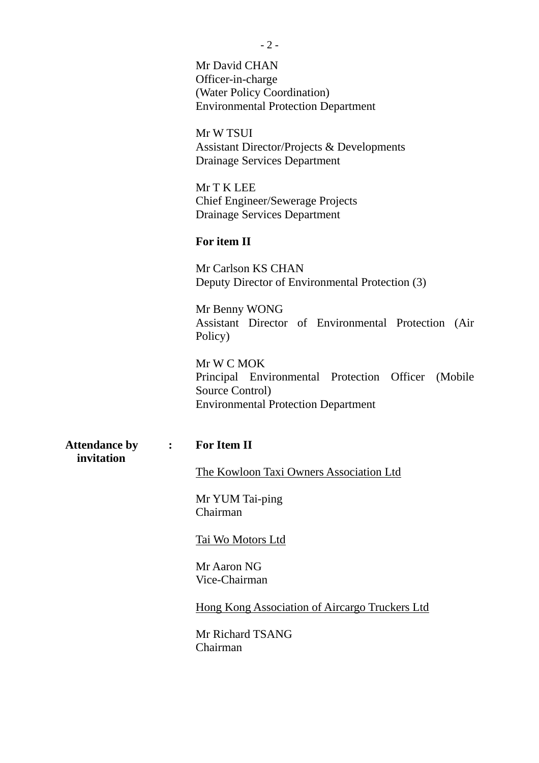Mr David CHAN Officer-in-charge (Water Policy Coordination) Environmental Protection Department

Mr W TSUI Assistant Director/Projects & Developments Drainage Services Department

Mr T K LEE Chief Engineer/Sewerage Projects Drainage Services Department

#### **For item II**

Mr Carlson KS CHAN Deputy Director of Environmental Protection (3)

Mr Benny WONG Assistant Director of Environmental Protection (Air Policy)

Mr W C MOK Principal Environmental Protection Officer (Mobile Source Control) Environmental Protection Department

**Attendance by : For Item II invitation** 

The Kowloon Taxi Owners Association Ltd

Mr YUM Tai-ping Chairman

Tai Wo Motors Ltd

Mr Aaron NG Vice-Chairman

Hong Kong Association of Aircargo Truckers Ltd

Mr Richard TSANG Chairman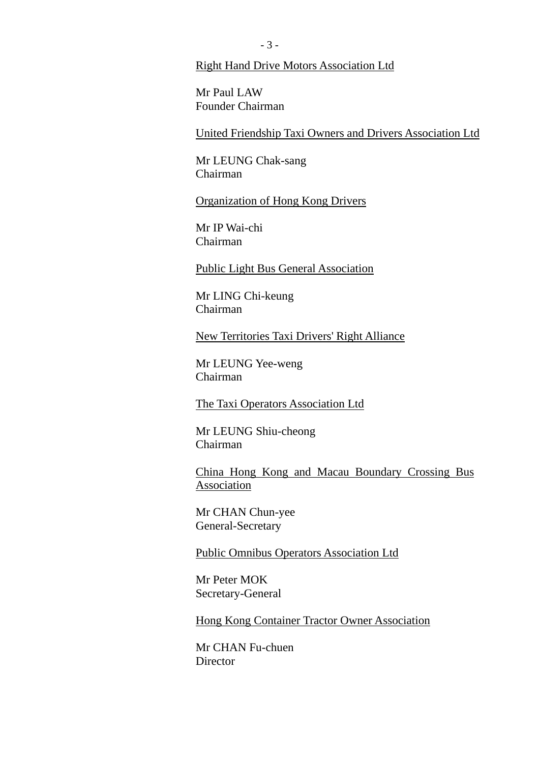#### Right Hand Drive Motors Association Ltd

Mr Paul LAW Founder Chairman

United Friendship Taxi Owners and Drivers Association Ltd

Mr LEUNG Chak-sang Chairman

Organization of Hong Kong Drivers

Mr IP Wai-chi Chairman

Public Light Bus General Association

Mr LING Chi-keung Chairman

New Territories Taxi Drivers' Right Alliance

Mr LEUNG Yee-weng Chairman

The Taxi Operators Association Ltd

Mr LEUNG Shiu-cheong Chairman

China Hong Kong and Macau Boundary Crossing Bus Association

Mr CHAN Chun-yee General-Secretary

Public Omnibus Operators Association Ltd

Mr Peter MOK Secretary-General

Hong Kong Container Tractor Owner Association

Mr CHAN Fu-chuen **Director**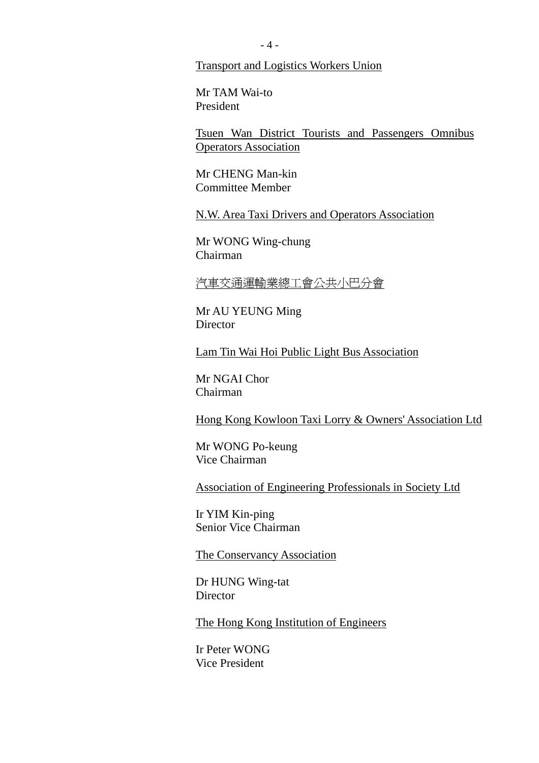Transport and Logistics Workers Union

Mr TAM Wai-to President

Tsuen Wan District Tourists and Passengers Omnibus Operators Association

Mr CHENG Man-kin Committee Member

N.W. Area Taxi Drivers and Operators Association

Mr WONG Wing-chung Chairman

汽車交通運輸業總工會公共小巴分會

Mr AU YEUNG Ming **Director** 

Lam Tin Wai Hoi Public Light Bus Association

Mr NGAI Chor Chairman

Hong Kong Kowloon Taxi Lorry & Owners' Association Ltd

Mr WONG Po-keung Vice Chairman

Association of Engineering Professionals in Society Ltd

Ir YIM Kin-ping Senior Vice Chairman

The Conservancy Association

Dr HUNG Wing-tat **Director** 

The Hong Kong Institution of Engineers

Ir Peter WONG Vice President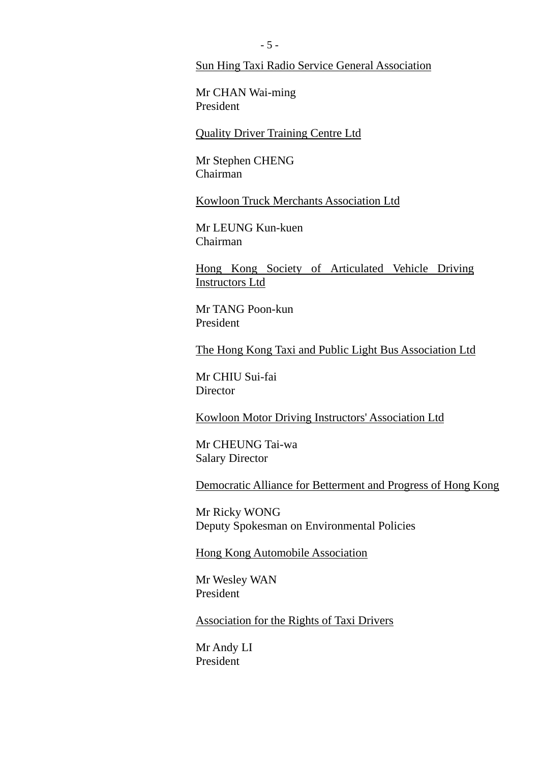#### Sun Hing Taxi Radio Service General Association

Mr CHAN Wai-ming President

Quality Driver Training Centre Ltd

Mr Stephen CHENG Chairman

Kowloon Truck Merchants Association Ltd

Mr LEUNG Kun-kuen Chairman

Hong Kong Society of Articulated Vehicle Driving Instructors Ltd

Mr TANG Poon-kun President

The Hong Kong Taxi and Public Light Bus Association Ltd

Mr CHIU Sui-fai **Director** 

Kowloon Motor Driving Instructors' Association Ltd

Mr CHEUNG Tai-wa Salary Director

Democratic Alliance for Betterment and Progress of Hong Kong

Mr Ricky WONG Deputy Spokesman on Environmental Policies

Hong Kong Automobile Association

Mr Wesley WAN President

Association for the Rights of Taxi Drivers

Mr Andy LI President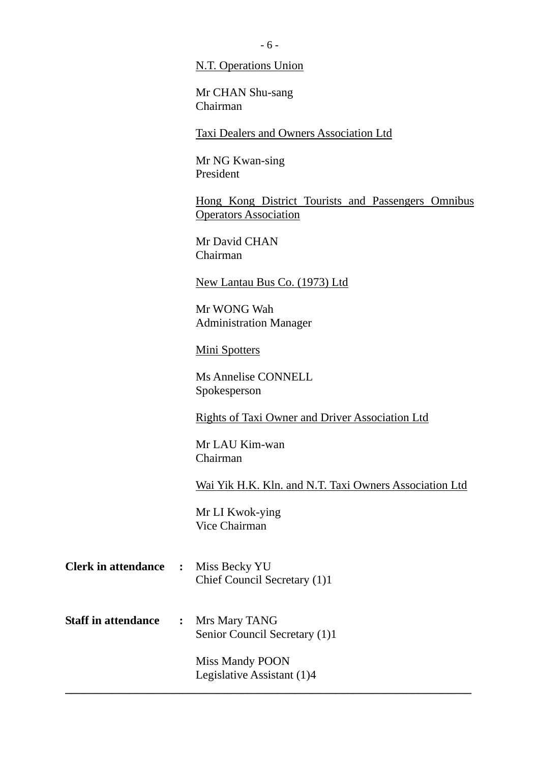N.T. Operations Union

Mr CHAN Shu-sang Chairman

Taxi Dealers and Owners Association Ltd

Mr NG Kwan-sing President

Hong Kong District Tourists and Passengers Omnibus Operators Association

Mr David CHAN Chairman

New Lantau Bus Co. (1973) Ltd

Mr WONG Wah Administration Manager

Mini Spotters

Ms Annelise CONNELL Spokesperson

Rights of Taxi Owner and Driver Association Ltd

Mr LAU Kim-wan Chairman

Wai Yik H.K. Kln. and N.T. Taxi Owners Association Ltd

Mr LI Kwok-ying Vice Chairman

- **Clerk in attendance :** Miss Becky YU Chief Council Secretary (1)1
- **Staff in attendance :** Mrs Mary TANG Senior Council Secretary (1)1

Miss Mandy POON Legislative Assistant (1)4

**\_\_\_\_\_\_\_\_\_\_\_\_\_\_\_\_\_\_\_\_\_\_\_\_\_\_\_\_\_\_\_\_\_\_\_\_\_\_\_\_\_\_\_\_\_\_\_\_\_\_\_\_\_\_\_\_\_\_\_\_\_\_\_\_\_\_\_\_\_**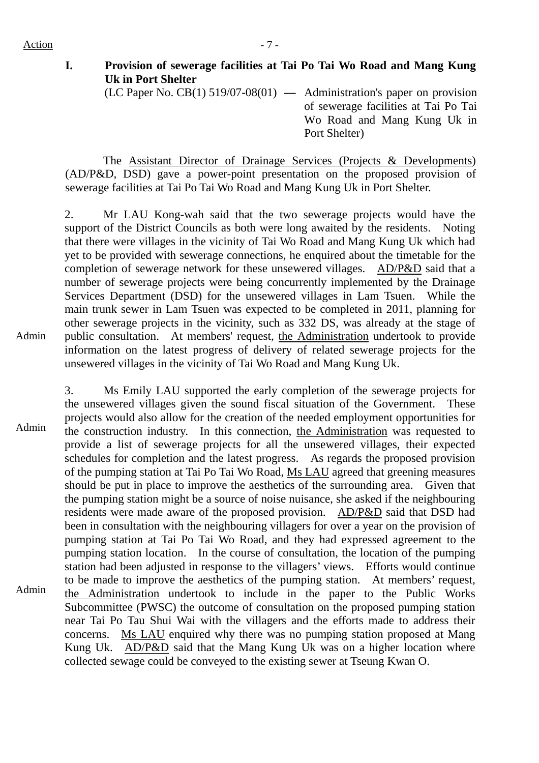Action  $-7 -$ 

# **I. Provision of sewerage facilities at Tai Po Tai Wo Road and Mang Kung Uk in Port Shelter**

(LC Paper No. CB(1) 519/07-08(01) **—** Administration's paper on provision of sewerage facilities at Tai Po Tai Wo Road and Mang Kung Uk in Port Shelter)

 The Assistant Director of Drainage Services (Projects & Developments) (AD/P&D, DSD) gave a power-point presentation on the proposed provision of sewerage facilities at Tai Po Tai Wo Road and Mang Kung Uk in Port Shelter.

Admin 2. Mr LAU Kong-wah said that the two sewerage projects would have the support of the District Councils as both were long awaited by the residents. Noting that there were villages in the vicinity of Tai Wo Road and Mang Kung Uk which had yet to be provided with sewerage connections, he enquired about the timetable for the completion of sewerage network for these unsewered villages. AD/P&D said that a number of sewerage projects were being concurrently implemented by the Drainage Services Department (DSD) for the unsewered villages in Lam Tsuen. While the main trunk sewer in Lam Tsuen was expected to be completed in 2011, planning for other sewerage projects in the vicinity, such as 332 DS, was already at the stage of public consultation. At members' request, the Administration undertook to provide information on the latest progress of delivery of related sewerage projects for the unsewered villages in the vicinity of Tai Wo Road and Mang Kung Uk.

Admin Admin 3. Ms Emily LAU supported the early completion of the sewerage projects for the unsewered villages given the sound fiscal situation of the Government. These projects would also allow for the creation of the needed employment opportunities for the construction industry. In this connection, the Administration was requested to provide a list of sewerage projects for all the unsewered villages, their expected schedules for completion and the latest progress. As regards the proposed provision of the pumping station at Tai Po Tai Wo Road, Ms LAU agreed that greening measures should be put in place to improve the aesthetics of the surrounding area. Given that the pumping station might be a source of noise nuisance, she asked if the neighbouring residents were made aware of the proposed provision. AD/P&D said that DSD had been in consultation with the neighbouring villagers for over a year on the provision of pumping station at Tai Po Tai Wo Road, and they had expressed agreement to the pumping station location. In the course of consultation, the location of the pumping station had been adjusted in response to the villagers' views. Efforts would continue to be made to improve the aesthetics of the pumping station. At members' request, the Administration undertook to include in the paper to the Public Works Subcommittee (PWSC) the outcome of consultation on the proposed pumping station near Tai Po Tau Shui Wai with the villagers and the efforts made to address their concerns. Ms LAU enquired why there was no pumping station proposed at Mang Kung Uk. AD/P&D said that the Mang Kung Uk was on a higher location where collected sewage could be conveyed to the existing sewer at Tseung Kwan O.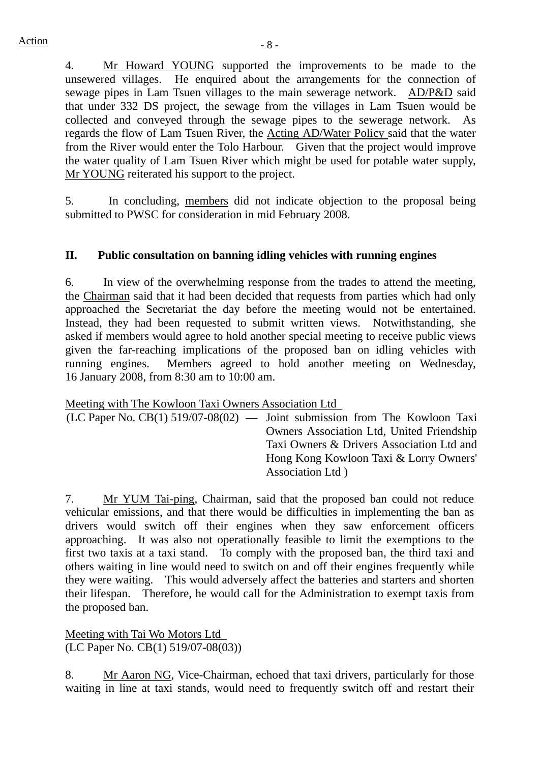4. Mr Howard YOUNG supported the improvements to be made to the unsewered villages. He enquired about the arrangements for the connection of sewage pipes in Lam Tsuen villages to the main sewerage network. AD/P&D said that under 332 DS project, the sewage from the villages in Lam Tsuen would be collected and conveyed through the sewage pipes to the sewerage network. As regards the flow of Lam Tsuen River, the Acting AD/Water Policy said that the water from the River would enter the Tolo Harbour. Given that the project would improve the water quality of Lam Tsuen River which might be used for potable water supply, Mr YOUNG reiterated his support to the project.

5. In concluding, members did not indicate objection to the proposal being submitted to PWSC for consideration in mid February 2008.

#### **II. Public consultation on banning idling vehicles with running engines**

6. In view of the overwhelming response from the trades to attend the meeting, the Chairman said that it had been decided that requests from parties which had only approached the Secretariat the day before the meeting would not be entertained. Instead, they had been requested to submit written views. Notwithstanding, she asked if members would agree to hold another special meeting to receive public views given the far-reaching implications of the proposed ban on idling vehicles with running engines. Members agreed to hold another meeting on Wednesday, 16 January 2008, from 8:30 am to 10:00 am.

Meeting with The Kowloon Taxi Owners Association Ltd

| $(LC$ Paper No. $CB(1)$ 519/07-08(02) — Joint submission from The Kowloon Taxi |
|--------------------------------------------------------------------------------|
| <b>Owners Association Ltd, United Friendship</b>                               |
| Taxi Owners & Drivers Association Ltd and                                      |
| Hong Kong Kowloon Taxi & Lorry Owners'                                         |
| Association Ltd.                                                               |

7. Mr YUM Tai-ping, Chairman, said that the proposed ban could not reduce vehicular emissions, and that there would be difficulties in implementing the ban as drivers would switch off their engines when they saw enforcement officers approaching. It was also not operationally feasible to limit the exemptions to the first two taxis at a taxi stand. To comply with the proposed ban, the third taxi and others waiting in line would need to switch on and off their engines frequently while they were waiting. This would adversely affect the batteries and starters and shorten their lifespan. Therefore, he would call for the Administration to exempt taxis from the proposed ban.

Meeting with Tai Wo Motors Ltd (LC Paper No. CB(1) 519/07-08(03))

8. Mr Aaron NG, Vice-Chairman, echoed that taxi drivers, particularly for those waiting in line at taxi stands, would need to frequently switch off and restart their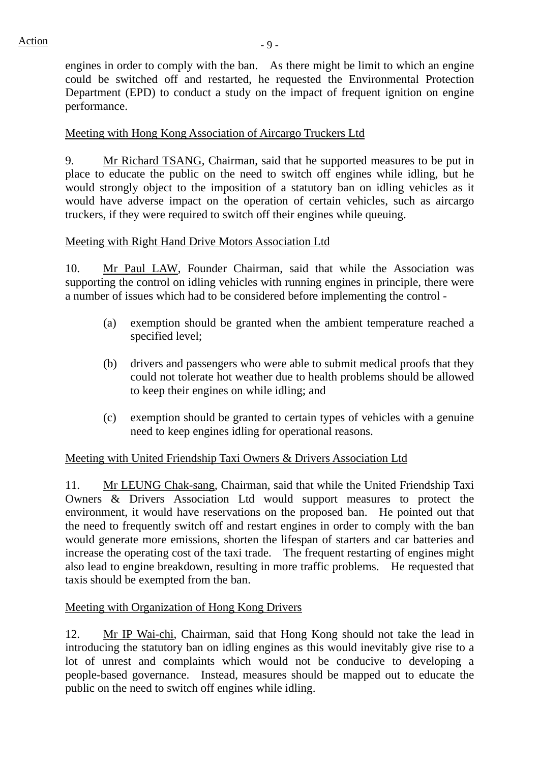engines in order to comply with the ban. As there might be limit to which an engine could be switched off and restarted, he requested the Environmental Protection Department (EPD) to conduct a study on the impact of frequent ignition on engine performance.

## Meeting with Hong Kong Association of Aircargo Truckers Ltd

9. Mr Richard TSANG, Chairman, said that he supported measures to be put in place to educate the public on the need to switch off engines while idling, but he would strongly object to the imposition of a statutory ban on idling vehicles as it would have adverse impact on the operation of certain vehicles, such as aircargo truckers, if they were required to switch off their engines while queuing.

#### Meeting with Right Hand Drive Motors Association Ltd

10. Mr Paul LAW, Founder Chairman, said that while the Association was supporting the control on idling vehicles with running engines in principle, there were a number of issues which had to be considered before implementing the control -

- (a) exemption should be granted when the ambient temperature reached a specified level;
- (b) drivers and passengers who were able to submit medical proofs that they could not tolerate hot weather due to health problems should be allowed to keep their engines on while idling; and
- (c) exemption should be granted to certain types of vehicles with a genuine need to keep engines idling for operational reasons.

#### Meeting with United Friendship Taxi Owners & Drivers Association Ltd

11. Mr LEUNG Chak-sang, Chairman, said that while the United Friendship Taxi Owners & Drivers Association Ltd would support measures to protect the environment, it would have reservations on the proposed ban. He pointed out that the need to frequently switch off and restart engines in order to comply with the ban would generate more emissions, shorten the lifespan of starters and car batteries and increase the operating cost of the taxi trade. The frequent restarting of engines might also lead to engine breakdown, resulting in more traffic problems. He requested that taxis should be exempted from the ban.

#### Meeting with Organization of Hong Kong Drivers

12. Mr IP Wai-chi, Chairman, said that Hong Kong should not take the lead in introducing the statutory ban on idling engines as this would inevitably give rise to a lot of unrest and complaints which would not be conducive to developing a people-based governance. Instead, measures should be mapped out to educate the public on the need to switch off engines while idling.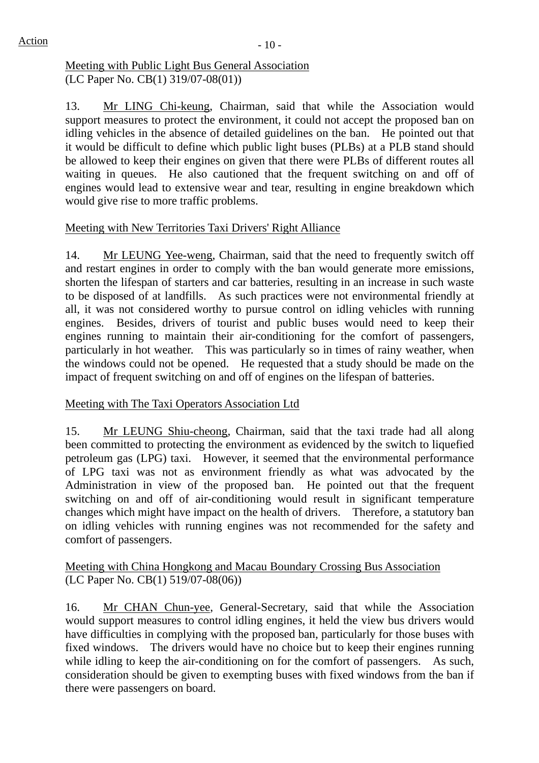#### Meeting with Public Light Bus General Association (LC Paper No. CB(1) 319/07-08(01))

13. Mr LING Chi-keung, Chairman, said that while the Association would support measures to protect the environment, it could not accept the proposed ban on idling vehicles in the absence of detailed guidelines on the ban. He pointed out that it would be difficult to define which public light buses (PLBs) at a PLB stand should be allowed to keep their engines on given that there were PLBs of different routes all waiting in queues. He also cautioned that the frequent switching on and off of engines would lead to extensive wear and tear, resulting in engine breakdown which would give rise to more traffic problems.

## Meeting with New Territories Taxi Drivers' Right Alliance

14. Mr LEUNG Yee-weng, Chairman, said that the need to frequently switch off and restart engines in order to comply with the ban would generate more emissions, shorten the lifespan of starters and car batteries, resulting in an increase in such waste to be disposed of at landfills. As such practices were not environmental friendly at all, it was not considered worthy to pursue control on idling vehicles with running engines. Besides, drivers of tourist and public buses would need to keep their engines running to maintain their air-conditioning for the comfort of passengers, particularly in hot weather. This was particularly so in times of rainy weather, when the windows could not be opened. He requested that a study should be made on the impact of frequent switching on and off of engines on the lifespan of batteries.

## Meeting with The Taxi Operators Association Ltd

15. Mr LEUNG Shiu-cheong, Chairman, said that the taxi trade had all along been committed to protecting the environment as evidenced by the switch to liquefied petroleum gas (LPG) taxi. However, it seemed that the environmental performance of LPG taxi was not as environment friendly as what was advocated by the Administration in view of the proposed ban. He pointed out that the frequent switching on and off of air-conditioning would result in significant temperature changes which might have impact on the health of drivers. Therefore, a statutory ban on idling vehicles with running engines was not recommended for the safety and comfort of passengers.

#### Meeting with China Hongkong and Macau Boundary Crossing Bus Association (LC Paper No. CB(1) 519/07-08(06))

16. Mr CHAN Chun-yee, General-Secretary, said that while the Association would support measures to control idling engines, it held the view bus drivers would have difficulties in complying with the proposed ban, particularly for those buses with fixed windows. The drivers would have no choice but to keep their engines running while idling to keep the air-conditioning on for the comfort of passengers. As such, consideration should be given to exempting buses with fixed windows from the ban if there were passengers on board.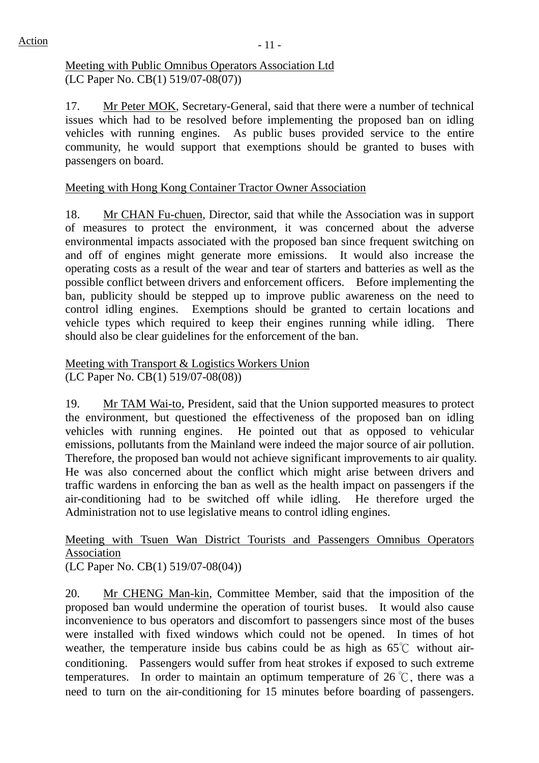#### Meeting with Public Omnibus Operators Association Ltd (LC Paper No. CB(1) 519/07-08(07))

17. Mr Peter MOK, Secretary-General, said that there were a number of technical issues which had to be resolved before implementing the proposed ban on idling vehicles with running engines. As public buses provided service to the entire community, he would support that exemptions should be granted to buses with passengers on board.

# Meeting with Hong Kong Container Tractor Owner Association

18. Mr CHAN Fu-chuen, Director, said that while the Association was in support of measures to protect the environment, it was concerned about the adverse environmental impacts associated with the proposed ban since frequent switching on and off of engines might generate more emissions. It would also increase the operating costs as a result of the wear and tear of starters and batteries as well as the possible conflict between drivers and enforcement officers. Before implementing the ban, publicity should be stepped up to improve public awareness on the need to control idling engines. Exemptions should be granted to certain locations and vehicle types which required to keep their engines running while idling. There should also be clear guidelines for the enforcement of the ban.

#### Meeting with Transport & Logistics Workers Union (LC Paper No. CB(1) 519/07-08(08))

19. Mr TAM Wai-to, President, said that the Union supported measures to protect the environment, but questioned the effectiveness of the proposed ban on idling vehicles with running engines. He pointed out that as opposed to vehicular emissions, pollutants from the Mainland were indeed the major source of air pollution. Therefore, the proposed ban would not achieve significant improvements to air quality. He was also concerned about the conflict which might arise between drivers and traffic wardens in enforcing the ban as well as the health impact on passengers if the air-conditioning had to be switched off while idling. He therefore urged the Administration not to use legislative means to control idling engines.

#### Meeting with Tsuen Wan District Tourists and Passengers Omnibus Operators Association (LC Paper No. CB(1) 519/07-08(04))

20. Mr CHENG Man-kin, Committee Member, said that the imposition of the proposed ban would undermine the operation of tourist buses. It would also cause inconvenience to bus operators and discomfort to passengers since most of the buses were installed with fixed windows which could not be opened. In times of hot weather, the temperature inside bus cabins could be as high as 65℃ without airconditioning. Passengers would suffer from heat strokes if exposed to such extreme temperatures. In order to maintain an optimum temperature of 26 °C, there was a need to turn on the air-conditioning for 15 minutes before boarding of passengers.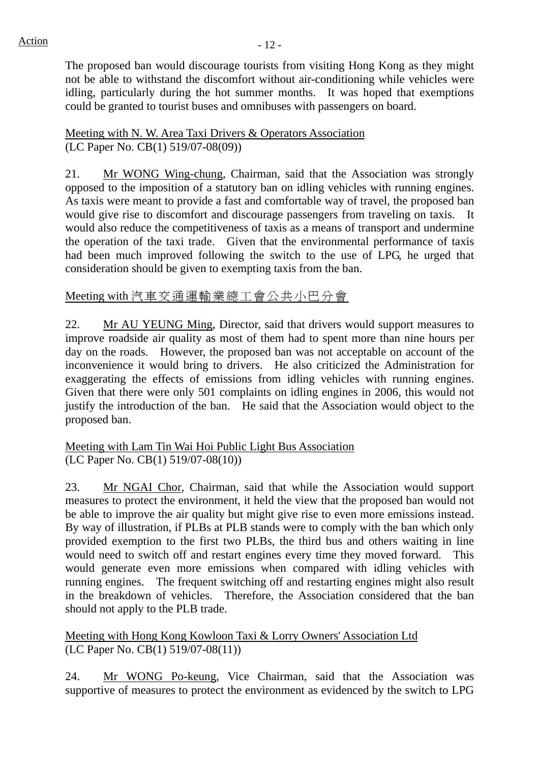$Action$  - 12 -

The proposed ban would discourage tourists from visiting Hong Kong as they might not be able to withstand the discomfort without air-conditioning while vehicles were idling, particularly during the hot summer months. It was hoped that exemptions could be granted to tourist buses and omnibuses with passengers on board.

Meeting with N. W. Area Taxi Drivers & Operators Association (LC Paper No. CB(1) 519/07-08(09))

21. Mr WONG Wing-chung, Chairman, said that the Association was strongly opposed to the imposition of a statutory ban on idling vehicles with running engines. As taxis were meant to provide a fast and comfortable way of travel, the proposed ban would give rise to discomfort and discourage passengers from traveling on taxis. It would also reduce the competitiveness of taxis as a means of transport and undermine the operation of the taxi trade. Given that the environmental performance of taxis had been much improved following the switch to the use of LPG, he urged that consideration should be given to exempting taxis from the ban.

# Meeting with 汽車交通運輸業總工會公共小巴分會

22. Mr AU YEUNG Ming, Director, said that drivers would support measures to improve roadside air quality as most of them had to spent more than nine hours per day on the roads. However, the proposed ban was not acceptable on account of the inconvenience it would bring to drivers. He also criticized the Administration for exaggerating the effects of emissions from idling vehicles with running engines. Given that there were only 501 complaints on idling engines in 2006, this would not justify the introduction of the ban. He said that the Association would object to the proposed ban.

Meeting with Lam Tin Wai Hoi Public Light Bus Association (LC Paper No. CB(1) 519/07-08(10))

23. Mr NGAI Chor, Chairman, said that while the Association would support measures to protect the environment, it held the view that the proposed ban would not be able to improve the air quality but might give rise to even more emissions instead. By way of illustration, if PLBs at PLB stands were to comply with the ban which only provided exemption to the first two PLBs, the third bus and others waiting in line would need to switch off and restart engines every time they moved forward. This would generate even more emissions when compared with idling vehicles with running engines. The frequent switching off and restarting engines might also result in the breakdown of vehicles. Therefore, the Association considered that the ban should not apply to the PLB trade.

Meeting with Hong Kong Kowloon Taxi & Lorry Owners' Association Ltd (LC Paper No. CB(1) 519/07-08(11))

24. Mr WONG Po-keung, Vice Chairman, said that the Association was supportive of measures to protect the environment as evidenced by the switch to LPG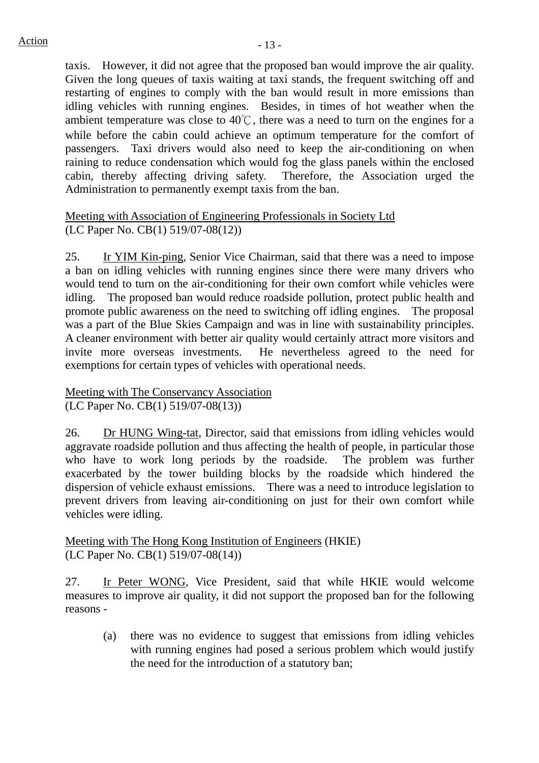taxis. However, it did not agree that the proposed ban would improve the air quality. Given the long queues of taxis waiting at taxi stands, the frequent switching off and restarting of engines to comply with the ban would result in more emissions than idling vehicles with running engines. Besides, in times of hot weather when the ambient temperature was close to 40℃, there was a need to turn on the engines for a while before the cabin could achieve an optimum temperature for the comfort of passengers. Taxi drivers would also need to keep the air-conditioning on when raining to reduce condensation which would fog the glass panels within the enclosed cabin, thereby affecting driving safety. Therefore, the Association urged the Administration to permanently exempt taxis from the ban.

#### Meeting with Association of Engineering Professionals in Society Ltd (LC Paper No. CB(1) 519/07-08(12))

25. Ir YIM Kin-ping, Senior Vice Chairman, said that there was a need to impose a ban on idling vehicles with running engines since there were many drivers who would tend to turn on the air-conditioning for their own comfort while vehicles were idling. The proposed ban would reduce roadside pollution, protect public health and promote public awareness on the need to switching off idling engines. The proposal was a part of the Blue Skies Campaign and was in line with sustainability principles. A cleaner environment with better air quality would certainly attract more visitors and invite more overseas investments. He nevertheless agreed to the need for exemptions for certain types of vehicles with operational needs.

#### Meeting with The Conservancy Association (LC Paper No. CB(1) 519/07-08(13))

26. Dr HUNG Wing-tat, Director, said that emissions from idling vehicles would aggravate roadside pollution and thus affecting the health of people, in particular those who have to work long periods by the roadside. The problem was further exacerbated by the tower building blocks by the roadside which hindered the dispersion of vehicle exhaust emissions. There was a need to introduce legislation to prevent drivers from leaving air-conditioning on just for their own comfort while vehicles were idling.

Meeting with The Hong Kong Institution of Engineers (HKIE) (LC Paper No. CB(1) 519/07-08(14))

27. Ir Peter WONG, Vice President, said that while HKIE would welcome measures to improve air quality, it did not support the proposed ban for the following reasons -

(a) there was no evidence to suggest that emissions from idling vehicles with running engines had posed a serious problem which would justify the need for the introduction of a statutory ban;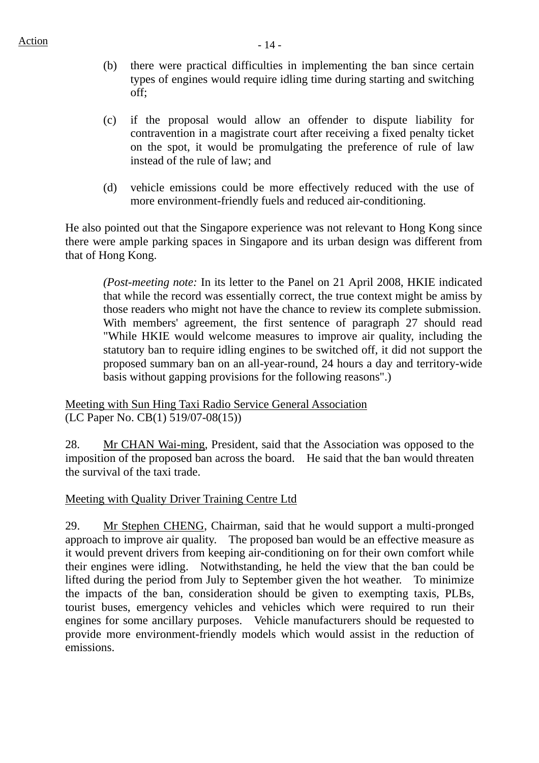- (b) there were practical difficulties in implementing the ban since certain types of engines would require idling time during starting and switching off;
- (c) if the proposal would allow an offender to dispute liability for contravention in a magistrate court after receiving a fixed penalty ticket on the spot, it would be promulgating the preference of rule of law instead of the rule of law; and
- (d) vehicle emissions could be more effectively reduced with the use of more environment-friendly fuels and reduced air-conditioning.

He also pointed out that the Singapore experience was not relevant to Hong Kong since there were ample parking spaces in Singapore and its urban design was different from that of Hong Kong.

*(Post-meeting note:* In its letter to the Panel on 21 April 2008, HKIE indicated that while the record was essentially correct, the true context might be amiss by those readers who might not have the chance to review its complete submission. With members' agreement, the first sentence of paragraph 27 should read "While HKIE would welcome measures to improve air quality, including the statutory ban to require idling engines to be switched off, it did not support the proposed summary ban on an all-year-round, 24 hours a day and territory-wide basis without gapping provisions for the following reasons".)

Meeting with Sun Hing Taxi Radio Service General Association (LC Paper No. CB(1) 519/07-08(15))

28. Mr CHAN Wai-ming, President, said that the Association was opposed to the imposition of the proposed ban across the board. He said that the ban would threaten the survival of the taxi trade.

Meeting with Quality Driver Training Centre Ltd

29. Mr Stephen CHENG, Chairman, said that he would support a multi-pronged approach to improve air quality. The proposed ban would be an effective measure as it would prevent drivers from keeping air-conditioning on for their own comfort while their engines were idling. Notwithstanding, he held the view that the ban could be lifted during the period from July to September given the hot weather. To minimize the impacts of the ban, consideration should be given to exempting taxis, PLBs, tourist buses, emergency vehicles and vehicles which were required to run their engines for some ancillary purposes. Vehicle manufacturers should be requested to provide more environment-friendly models which would assist in the reduction of emissions.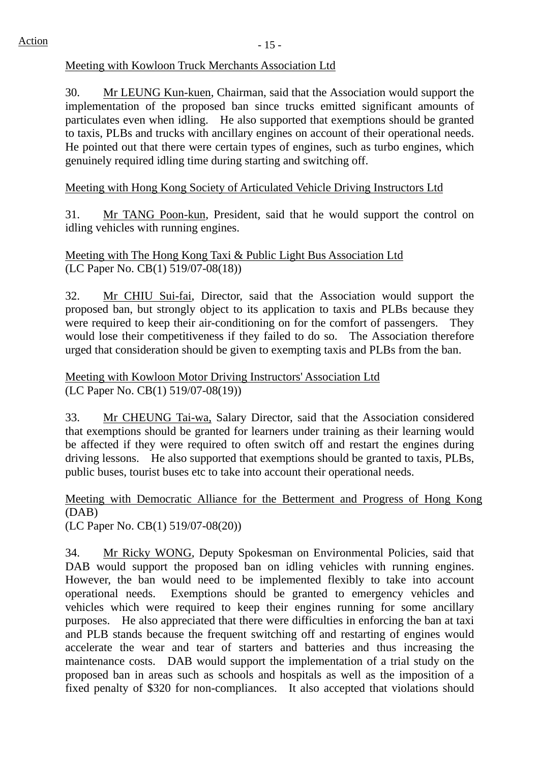#### Meeting with Kowloon Truck Merchants Association Ltd

30. Mr LEUNG Kun-kuen, Chairman, said that the Association would support the implementation of the proposed ban since trucks emitted significant amounts of particulates even when idling. He also supported that exemptions should be granted to taxis, PLBs and trucks with ancillary engines on account of their operational needs. He pointed out that there were certain types of engines, such as turbo engines, which genuinely required idling time during starting and switching off.

# Meeting with Hong Kong Society of Articulated Vehicle Driving Instructors Ltd

31. Mr TANG Poon-kun, President, said that he would support the control on idling vehicles with running engines.

Meeting with The Hong Kong Taxi & Public Light Bus Association Ltd (LC Paper No. CB(1) 519/07-08(18))

32. Mr CHIU Sui-fai, Director, said that the Association would support the proposed ban, but strongly object to its application to taxis and PLBs because they were required to keep their air-conditioning on for the comfort of passengers. They would lose their competitiveness if they failed to do so. The Association therefore urged that consideration should be given to exempting taxis and PLBs from the ban.

Meeting with Kowloon Motor Driving Instructors' Association Ltd (LC Paper No. CB(1) 519/07-08(19))

33. Mr CHEUNG Tai-wa, Salary Director, said that the Association considered that exemptions should be granted for learners under training as their learning would be affected if they were required to often switch off and restart the engines during driving lessons. He also supported that exemptions should be granted to taxis, PLBs, public buses, tourist buses etc to take into account their operational needs.

Meeting with Democratic Alliance for the Betterment and Progress of Hong Kong (DAB) (LC Paper No. CB(1) 519/07-08(20))

34. Mr Ricky WONG, Deputy Spokesman on Environmental Policies, said that DAB would support the proposed ban on idling vehicles with running engines. However, the ban would need to be implemented flexibly to take into account operational needs. Exemptions should be granted to emergency vehicles and vehicles which were required to keep their engines running for some ancillary purposes. He also appreciated that there were difficulties in enforcing the ban at taxi and PLB stands because the frequent switching off and restarting of engines would accelerate the wear and tear of starters and batteries and thus increasing the maintenance costs. DAB would support the implementation of a trial study on the proposed ban in areas such as schools and hospitals as well as the imposition of a fixed penalty of \$320 for non-compliances. It also accepted that violations should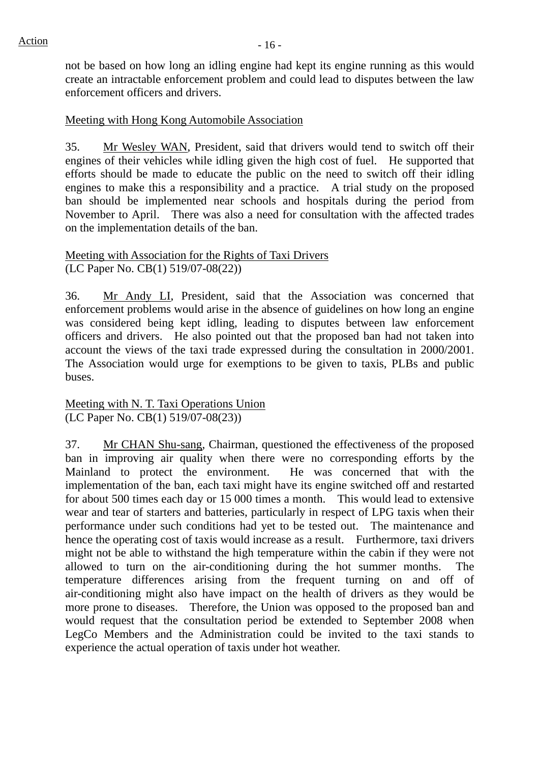not be based on how long an idling engine had kept its engine running as this would create an intractable enforcement problem and could lead to disputes between the law enforcement officers and drivers.

#### Meeting with Hong Kong Automobile Association

35. Mr Wesley WAN, President, said that drivers would tend to switch off their engines of their vehicles while idling given the high cost of fuel. He supported that efforts should be made to educate the public on the need to switch off their idling engines to make this a responsibility and a practice. A trial study on the proposed ban should be implemented near schools and hospitals during the period from November to April. There was also a need for consultation with the affected trades on the implementation details of the ban.

Meeting with Association for the Rights of Taxi Drivers (LC Paper No. CB(1) 519/07-08(22))

36. Mr Andy LI, President, said that the Association was concerned that enforcement problems would arise in the absence of guidelines on how long an engine was considered being kept idling, leading to disputes between law enforcement officers and drivers. He also pointed out that the proposed ban had not taken into account the views of the taxi trade expressed during the consultation in 2000/2001. The Association would urge for exemptions to be given to taxis, PLBs and public buses.

Meeting with N. T. Taxi Operations Union (LC Paper No. CB(1) 519/07-08(23))

37. Mr CHAN Shu-sang, Chairman, questioned the effectiveness of the proposed ban in improving air quality when there were no corresponding efforts by the Mainland to protect the environment. He was concerned that with the implementation of the ban, each taxi might have its engine switched off and restarted for about 500 times each day or 15 000 times a month. This would lead to extensive wear and tear of starters and batteries, particularly in respect of LPG taxis when their performance under such conditions had yet to be tested out. The maintenance and hence the operating cost of taxis would increase as a result. Furthermore, taxi drivers might not be able to withstand the high temperature within the cabin if they were not allowed to turn on the air-conditioning during the hot summer months. The temperature differences arising from the frequent turning on and off of air-conditioning might also have impact on the health of drivers as they would be more prone to diseases. Therefore, the Union was opposed to the proposed ban and would request that the consultation period be extended to September 2008 when LegCo Members and the Administration could be invited to the taxi stands to experience the actual operation of taxis under hot weather.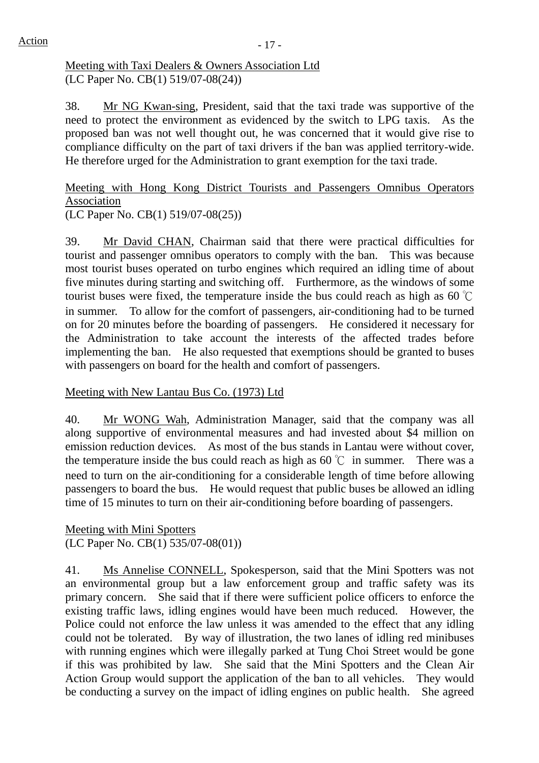#### Meeting with Taxi Dealers & Owners Association Ltd (LC Paper No. CB(1) 519/07-08(24))

38. Mr NG Kwan-sing, President, said that the taxi trade was supportive of the need to protect the environment as evidenced by the switch to LPG taxis. As the proposed ban was not well thought out, he was concerned that it would give rise to compliance difficulty on the part of taxi drivers if the ban was applied territory-wide. He therefore urged for the Administration to grant exemption for the taxi trade.

Meeting with Hong Kong District Tourists and Passengers Omnibus Operators Association (LC Paper No. CB(1) 519/07-08(25))

39. Mr David CHAN, Chairman said that there were practical difficulties for tourist and passenger omnibus operators to comply with the ban. This was because most tourist buses operated on turbo engines which required an idling time of about five minutes during starting and switching off. Furthermore, as the windows of some tourist buses were fixed, the temperature inside the bus could reach as high as 60 ℃ in summer. To allow for the comfort of passengers, air-conditioning had to be turned on for 20 minutes before the boarding of passengers. He considered it necessary for the Administration to take account the interests of the affected trades before implementing the ban. He also requested that exemptions should be granted to buses with passengers on board for the health and comfort of passengers.

## Meeting with New Lantau Bus Co. (1973) Ltd

40. Mr WONG Wah, Administration Manager, said that the company was all along supportive of environmental measures and had invested about \$4 million on emission reduction devices. As most of the bus stands in Lantau were without cover, the temperature inside the bus could reach as high as  $60^{\circ}$  in summer. There was a need to turn on the air-conditioning for a considerable length of time before allowing passengers to board the bus. He would request that public buses be allowed an idling time of 15 minutes to turn on their air-conditioning before boarding of passengers.

Meeting with Mini Spotters (LC Paper No. CB(1) 535/07-08(01))

41. Ms Annelise CONNELL, Spokesperson, said that the Mini Spotters was not an environmental group but a law enforcement group and traffic safety was its primary concern. She said that if there were sufficient police officers to enforce the existing traffic laws, idling engines would have been much reduced. However, the Police could not enforce the law unless it was amended to the effect that any idling could not be tolerated. By way of illustration, the two lanes of idling red minibuses with running engines which were illegally parked at Tung Choi Street would be gone if this was prohibited by law. She said that the Mini Spotters and the Clean Air Action Group would support the application of the ban to all vehicles. They would be conducting a survey on the impact of idling engines on public health. She agreed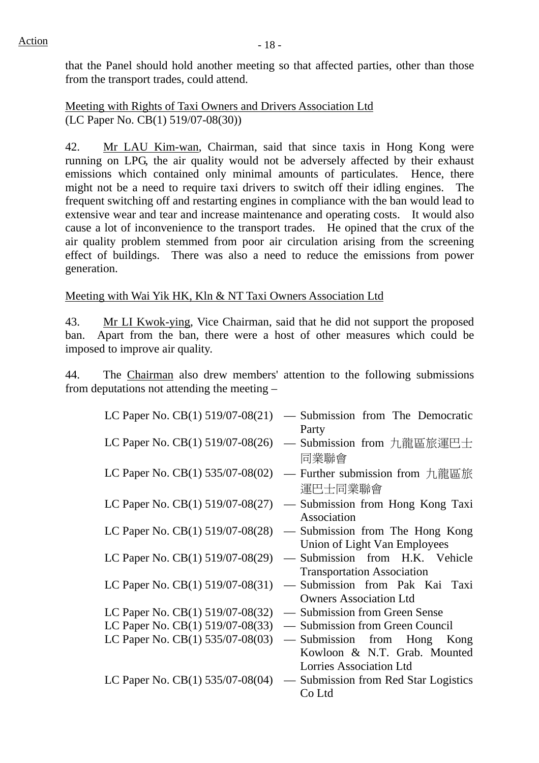that the Panel should hold another meeting so that affected parties, other than those from the transport trades, could attend.

Meeting with Rights of Taxi Owners and Drivers Association Ltd (LC Paper No. CB(1) 519/07-08(30))

42. Mr LAU Kim-wan, Chairman, said that since taxis in Hong Kong were running on LPG, the air quality would not be adversely affected by their exhaust emissions which contained only minimal amounts of particulates. Hence, there might not be a need to require taxi drivers to switch off their idling engines. The frequent switching off and restarting engines in compliance with the ban would lead to extensive wear and tear and increase maintenance and operating costs. It would also cause a lot of inconvenience to the transport trades. He opined that the crux of the air quality problem stemmed from poor air circulation arising from the screening effect of buildings. There was also a need to reduce the emissions from power generation.

## Meeting with Wai Yik HK, Kln & NT Taxi Owners Association Ltd

43. Mr LI Kwok-ying, Vice Chairman, said that he did not support the proposed ban. Apart from the ban, there were a host of other measures which could be imposed to improve air quality.

44. The Chairman also drew members' attention to the following submissions from deputations not attending the meeting –

| LC Paper No. CB(1) 519/07-08(21)   | - Submission from The Democratic     |
|------------------------------------|--------------------------------------|
|                                    | Party                                |
| LC Paper No. CB(1) 519/07-08(26)   | - Submission from 九龍區旅運巴士            |
|                                    | 同業聯會                                 |
| LC Paper No. $CB(1)$ 535/07-08(02) | — Further submission from 九龍區旅       |
|                                    | 運巴士同業聯會                              |
| LC Paper No. CB(1) 519/07-08(27)   | — Submission from Hong Kong Taxi     |
|                                    | Association                          |
| LC Paper No. CB(1) 519/07-08(28)   | — Submission from The Hong Kong      |
|                                    | Union of Light Van Employees         |
| LC Paper No. CB(1) 519/07-08(29)   | - Submission from H.K. Vehicle       |
|                                    | <b>Transportation Association</b>    |
| LC Paper No. CB(1) 519/07-08(31)   | - Submission from Pak Kai Taxi       |
|                                    | <b>Owners Association Ltd</b>        |
| LC Paper No. CB(1) 519/07-08(32)   | — Submission from Green Sense        |
| LC Paper No. CB(1) 519/07-08(33)   | — Submission from Green Council      |
| LC Paper No. CB(1) 535/07-08(03)   | — Submission from Hong<br>Kong       |
|                                    | Kowloon & N.T. Grab. Mounted         |
|                                    | Lorries Association Ltd              |
| LC Paper No. CB(1) 535/07-08(04)   | — Submission from Red Star Logistics |
|                                    | Co Ltd                               |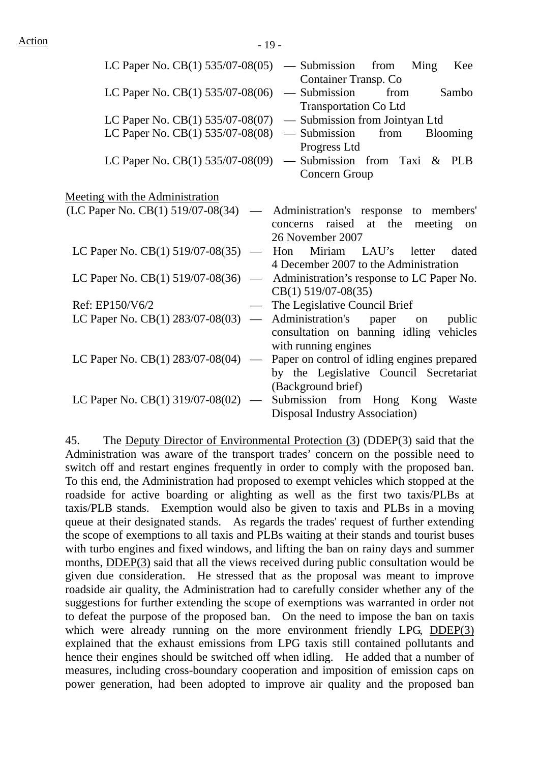| LC Paper No. CB(1) 535/07-08(05)                               | — Submission from<br>Ming<br>Kee                                                      |
|----------------------------------------------------------------|---------------------------------------------------------------------------------------|
| LC Paper No. $CB(1)$ 535/07-08(06)                             | Container Transp. Co<br>— Submission<br>from<br>Sambo<br><b>Transportation Co Ltd</b> |
| LC Paper No. $CB(1)$ 535/07-08(07)                             | - Submission from Jointyan Ltd                                                        |
| LC Paper No. CB(1) 535/07-08(08)                               | from<br>— Submission<br><b>Blooming</b>                                               |
|                                                                | Progress Ltd                                                                          |
| LC Paper No. CB(1) 535/07-08(09)                               | - Submission from Taxi & PLB                                                          |
|                                                                | Concern Group                                                                         |
| Meeting with the Administration                                |                                                                                       |
| (LC Paper No. CB(1) 519/07-08(34)<br>$\overline{\phantom{0}}$  | Administration's response to members'                                                 |
|                                                                | raised<br>at<br>the<br>meeting<br>concerns<br>on                                      |
|                                                                | 26 November 2007                                                                      |
| LC Paper No. CB(1) 519/07-08(35)<br>$\overline{\phantom{m}}$   | Miriam<br>LAU's<br>Hon<br>dated<br>letter                                             |
|                                                                | 4 December 2007 to the Administration                                                 |
| LC Paper No. CB(1) 519/07-08(36)<br>$\overline{\phantom{0}}$   | Administration's response to LC Paper No.                                             |
|                                                                | $CB(1)$ 519/07-08(35)                                                                 |
| Ref: EP150/V6/2                                                | The Legislative Council Brief                                                         |
| LC Paper No. $CB(1)$ 283/07-08(03)<br>$\overline{\phantom{0}}$ | Administration's<br>paper<br>public<br>on                                             |
|                                                                | consultation on banning idling vehicles                                               |
|                                                                | with running engines                                                                  |
| LC Paper No. $CB(1)$ 283/07-08(04)<br>$\overline{\phantom{m}}$ | Paper on control of idling engines prepared                                           |
|                                                                | by the Legislative Council Secretariat                                                |
|                                                                | (Background brief)                                                                    |
| LC Paper No. CB(1) 319/07-08(02)                               | Submission from Hong Kong<br>Waste                                                    |
|                                                                | Disposal Industry Association)                                                        |

45. The Deputy Director of Environmental Protection (3) (DDEP(3) said that the Administration was aware of the transport trades' concern on the possible need to switch off and restart engines frequently in order to comply with the proposed ban. To this end, the Administration had proposed to exempt vehicles which stopped at the roadside for active boarding or alighting as well as the first two taxis/PLBs at taxis/PLB stands. Exemption would also be given to taxis and PLBs in a moving queue at their designated stands. As regards the trades' request of further extending the scope of exemptions to all taxis and PLBs waiting at their stands and tourist buses with turbo engines and fixed windows, and lifting the ban on rainy days and summer months, DDEP(3) said that all the views received during public consultation would be given due consideration. He stressed that as the proposal was meant to improve roadside air quality, the Administration had to carefully consider whether any of the suggestions for further extending the scope of exemptions was warranted in order not to defeat the purpose of the proposed ban. On the need to impose the ban on taxis which were already running on the more environment friendly LPG, DDEP(3) explained that the exhaust emissions from LPG taxis still contained pollutants and hence their engines should be switched off when idling. He added that a number of measures, including cross-boundary cooperation and imposition of emission caps on power generation, had been adopted to improve air quality and the proposed ban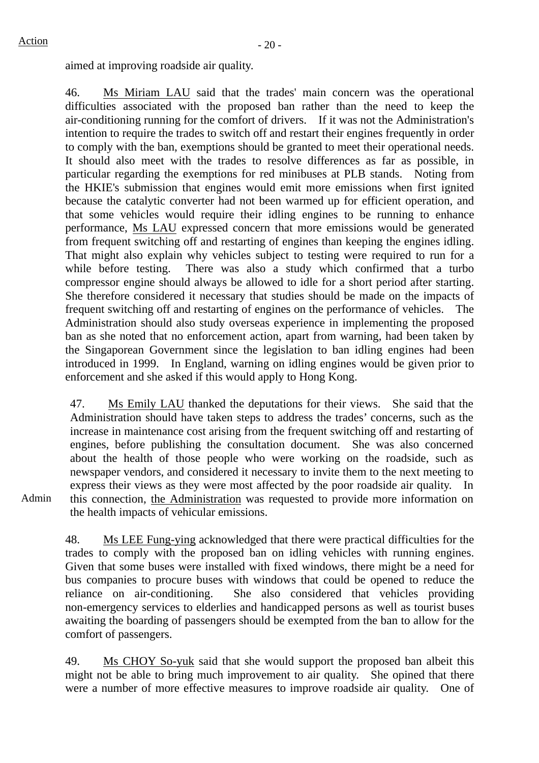aimed at improving roadside air quality.

46. Ms Miriam LAU said that the trades' main concern was the operational difficulties associated with the proposed ban rather than the need to keep the air-conditioning running for the comfort of drivers. If it was not the Administration's intention to require the trades to switch off and restart their engines frequently in order to comply with the ban, exemptions should be granted to meet their operational needs. It should also meet with the trades to resolve differences as far as possible, in particular regarding the exemptions for red minibuses at PLB stands. Noting from the HKIE's submission that engines would emit more emissions when first ignited because the catalytic converter had not been warmed up for efficient operation, and that some vehicles would require their idling engines to be running to enhance performance, Ms LAU expressed concern that more emissions would be generated from frequent switching off and restarting of engines than keeping the engines idling. That might also explain why vehicles subject to testing were required to run for a while before testing. There was also a study which confirmed that a turbo compressor engine should always be allowed to idle for a short period after starting. She therefore considered it necessary that studies should be made on the impacts of frequent switching off and restarting of engines on the performance of vehicles. The Administration should also study overseas experience in implementing the proposed ban as she noted that no enforcement action, apart from warning, had been taken by the Singaporean Government since the legislation to ban idling engines had been introduced in 1999. In England, warning on idling engines would be given prior to enforcement and she asked if this would apply to Hong Kong.

47. Ms Emily LAU thanked the deputations for their views. She said that the Administration should have taken steps to address the trades' concerns, such as the increase in maintenance cost arising from the frequent switching off and restarting of engines, before publishing the consultation document. She was also concerned about the health of those people who were working on the roadside, such as newspaper vendors, and considered it necessary to invite them to the next meeting to express their views as they were most affected by the poor roadside air quality. In this connection, the Administration was requested to provide more information on the health impacts of vehicular emissions.

Admin

48. Ms LEE Fung-ying acknowledged that there were practical difficulties for the trades to comply with the proposed ban on idling vehicles with running engines. Given that some buses were installed with fixed windows, there might be a need for bus companies to procure buses with windows that could be opened to reduce the reliance on air-conditioning. She also considered that vehicles providing non-emergency services to elderlies and handicapped persons as well as tourist buses awaiting the boarding of passengers should be exempted from the ban to allow for the comfort of passengers.

49. Ms CHOY So-yuk said that she would support the proposed ban albeit this might not be able to bring much improvement to air quality. She opined that there were a number of more effective measures to improve roadside air quality. One of